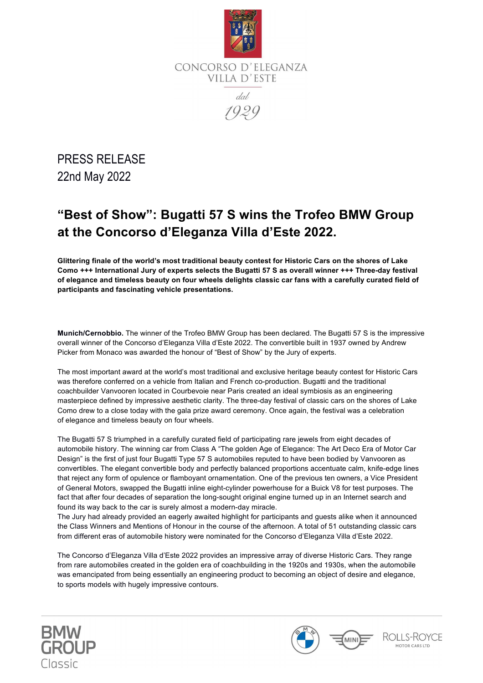

PRESS RELEASE 22nd May 2022

# **"Best of Show": Bugatti 57 S wins the Trofeo BMW Group at the Concorso d'Eleganza Villa d'Este 2022.**

**Glittering finale of the world's most traditional beauty contest for Historic Cars on the shores of Lake Como +++ International Jury of experts selects the Bugatti 57 S as overall winner +++ Three-day festival of elegance and timeless beauty on four wheels delights classic car fans with a carefully curated field of participants and fascinating vehicle presentations.**

**Munich/Cernobbio.** The winner of the Trofeo BMW Group has been declared. The Bugatti 57 S is the impressive overall winner of the Concorso d'Eleganza Villa d'Este 2022. The convertible built in 1937 owned by Andrew Picker from Monaco was awarded the honour of "Best of Show" by the Jury of experts.

The most important award at the world's most traditional and exclusive heritage beauty contest for Historic Cars was therefore conferred on a vehicle from Italian and French co-production. Bugatti and the traditional coachbuilder Vanvooren located in Courbevoie near Paris created an ideal symbiosis as an engineering masterpiece defined by impressive aesthetic clarity. The three-day festival of classic cars on the shores of Lake Como drew to a close today with the gala prize award ceremony. Once again, the festival was a celebration of elegance and timeless beauty on four wheels.

The Bugatti 57 S triumphed in a carefully curated field of participating rare jewels from eight decades of automobile history. The winning car from Class A "The golden Age of Elegance: The Art Deco Era of Motor Car Design" is the first of just four Bugatti Type 57 S automobiles reputed to have been bodied by Vanvooren as convertibles. The elegant convertible body and perfectly balanced proportions accentuate calm, knife-edge lines that reject any form of opulence or flamboyant ornamentation. One of the previous ten owners, a Vice President of General Motors, swapped the Bugatti inline eight-cylinder powerhouse for a Buick V8 for test purposes. The fact that after four decades of separation the long-sought original engine turned up in an Internet search and found its way back to the car is surely almost a modern-day miracle.

The Jury had already provided an eagerly awaited highlight for participants and guests alike when it announced the Class Winners and Mentions of Honour in the course of the afternoon. A total of 51 outstanding classic cars from different eras of automobile history were nominated for the Concorso d'Eleganza Villa d'Este 2022.

The Concorso d'Eleganza Villa d'Este 2022 provides an impressive array of diverse Historic Cars. They range from rare automobiles created in the golden era of coachbuilding in the 1920s and 1930s, when the automobile was emancipated from being essentially an engineering product to becoming an object of desire and elegance, to sports models with hugely impressive contours.





ROLLS-ROYCE MOTOR CARS LTD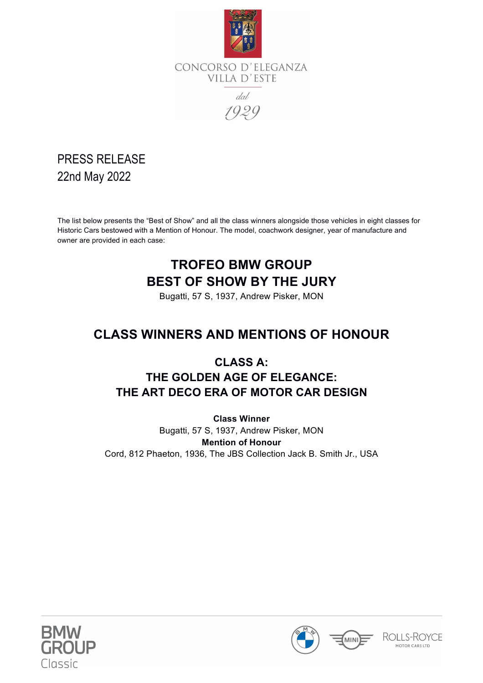

VILLA D'ESTE

dal

1929

### PRESS RELEASE 22nd May 2022

The list below presents the "Best of Show" and all the class winners alongside those vehicles in eight classes for Historic Cars bestowed with a Mention of Honour. The model, coachwork designer, year of manufacture and owner are provided in each case:

# **TROFEO BMW GROUP BEST OF SHOW BY THE JURY**

Bugatti, 57 S, 1937, Andrew Pisker, MON

### **CLASS WINNERS AND MENTIONS OF HONOUR**

#### **CLASS A: THE GOLDEN AGE OF ELEGANCE: THE ART DECO ERA OF MOTOR CAR DESIGN**

**Class Winner** Bugatti, 57 S, 1937, Andrew Pisker, MON **Mention of Honour** Cord, 812 Phaeton, 1936, The JBS Collection Jack B. Smith Jr., USA



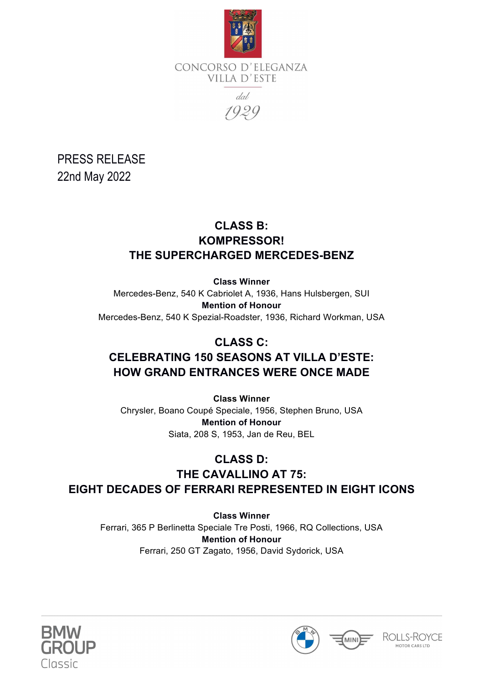

CONCORSO D'ELEGANZA VILLA D'ESTE  $ddd$ 

1929

PRESS RELEASE 22nd May 2022

#### **CLASS B: KOMPRESSOR! THE SUPERCHARGED MERCEDES-BENZ**

**Class Winner** Mercedes-Benz, 540 K Cabriolet A, 1936, Hans Hulsbergen, SUI **Mention of Honour** Mercedes-Benz, 540 K Spezial-Roadster, 1936, Richard Workman, USA

#### **CLASS C: CELEBRATING 150 SEASONS AT VILLA D'ESTE: HOW GRAND ENTRANCES WERE ONCE MADE**

**Class Winner** Chrysler, Boano Coupé Speciale, 1956, Stephen Bruno, USA **Mention of Honour** Siata, 208 S, 1953, Jan de Reu, BEL

#### **CLASS D: THE CAVALLINO AT 75: EIGHT DECADES OF FERRARI REPRESENTED IN EIGHT ICONS**

**Class Winner** Ferrari, 365 P Berlinetta Speciale Tre Posti, 1966, RQ Collections, USA **Mention of Honour** Ferrari, 250 GT Zagato, 1956, David Sydorick, USA





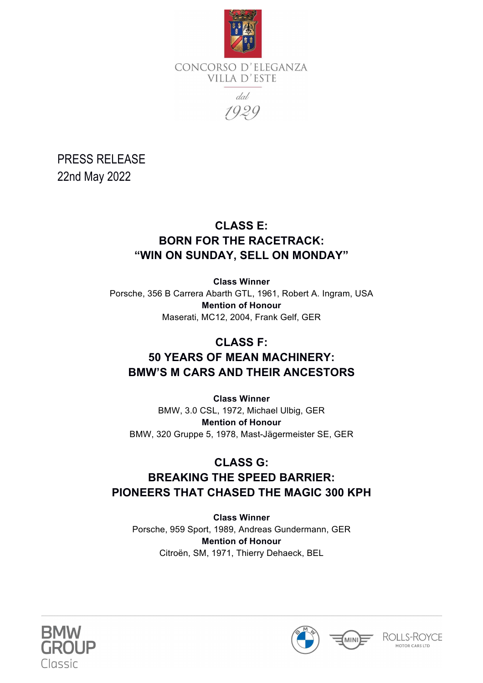

CONCORSO D'ELEGANZA VILLA D'ESTE dal

1929

PRESS RELEASE 22nd May 2022

#### **CLASS E: BORN FOR THE RACETRACK: "WIN ON SUNDAY, SELL ON MONDAY"**

**Class Winner** Porsche, 356 B Carrera Abarth GTL, 1961, Robert A. Ingram, USA **Mention of Honour** Maserati, MC12, 2004, Frank Gelf, GER

#### **CLASS F:**

#### **50 YEARS OF MEAN MACHINERY: BMW'S M CARS AND THEIR ANCESTORS**

**Class Winner** BMW, 3.0 CSL, 1972, Michael Ulbig, GER **Mention of Honour** BMW, 320 Gruppe 5, 1978, Mast-Jägermeister SE, GER

#### **CLASS G:**

### **BREAKING THE SPEED BARRIER: PIONEERS THAT CHASED THE MAGIC 300 KPH**

**Class Winner** Porsche, 959 Sport, 1989, Andreas Gundermann, GER **Mention of Honour** Citroёn, SM, 1971, Thierry Dehaeck, BEL





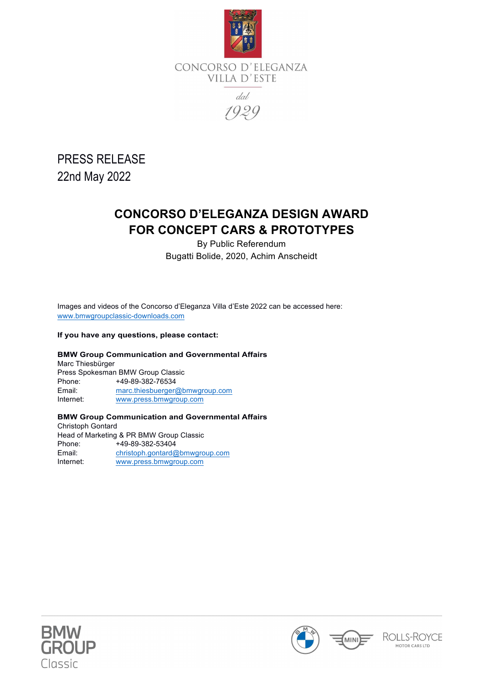

PRESS RELEASE 22nd May 2022

### **CONCORSO D'ELEGANZA DESIGN AWARD FOR CONCEPT CARS & PROTOTYPES**

By Public Referendum Bugatti Bolide, 2020, Achim Anscheidt

 Images and videos of the Concorso d'Eleganza Villa d'Este 2022 can be accessed here: www.bmwgroupclassic-downloads.com

#### **If you have any questions, please contact:**

#### **BMW Group Communication and Governmental Affairs**

Marc Thiesbürger Press Spokesman BMW Group Classic Phone: +49-89-382-76534 Email: marc.thiesbuerger@bmwgroup.com Internet: www.press.bmwgroup.com

#### **BMW Group Communication and Governmental Affairs**

Christoph Gontard Head of Marketing & PR BMW Group Classic Phone: +49-89-382-53404 Email: christoph.gontard@bmwgroup.com Internet: www.press.bmwgroup.com